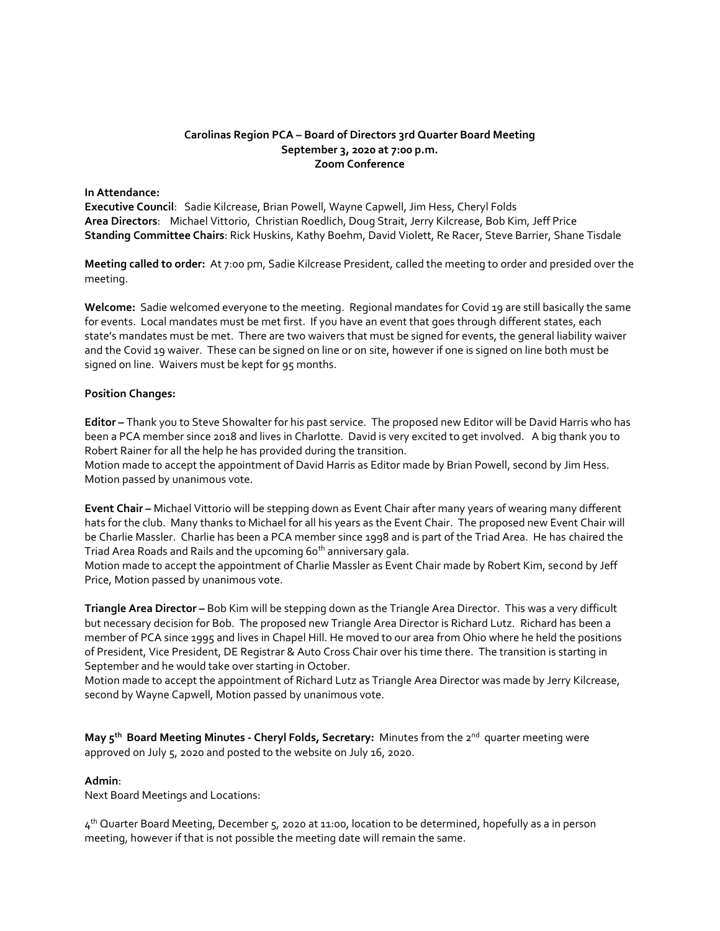## **Carolinas Region PCA – Board of Directors 3rd Quarter Board Meeting September 3, 2020 at 7:00 p.m. Zoom Conference**

### **In Attendance:**

**Executive Council**: Sadie Kilcrease, Brian Powell, Wayne Capwell, Jim Hess, Cheryl Folds **Area Directors**: Michael Vittorio, Christian Roedlich, Doug Strait, Jerry Kilcrease, Bob Kim, Jeff Price **Standing Committee Chairs**: Rick Huskins, Kathy Boehm, David Violett, Re Racer, Steve Barrier, Shane Tisdale

**Meeting called to order:** At 7:00 pm, Sadie Kilcrease President, called the meeting to order and presided over the meeting.

**Welcome:** Sadie welcomed everyone to the meeting. Regional mandates for Covid 19 are still basically the same for events. Local mandates must be met first. If you have an event that goes through different states, each state's mandates must be met. There are two waivers that must be signed for events, the general liability waiver and the Covid 19 waiver. These can be signed on line or on site, however if one is signed on line both must be signed on line. Waivers must be kept for 95 months.

#### **Position Changes:**

**Editor –** Thank you to Steve Showalter for his past service. The proposed new Editor will be David Harris who has been a PCA member since 2018 and lives in Charlotte. David is very excited to get involved. A big thank you to Robert Rainer for all the help he has provided during the transition.

Motion made to accept the appointment of David Harris as Editor made by Brian Powell, second by Jim Hess. Motion passed by unanimous vote.

**Event Chair –** Michael Vittorio will be stepping down as Event Chair after many years of wearing many different hats for the club. Many thanks to Michael for all his years as the Event Chair. The proposed new Event Chair will be Charlie Massler. Charlie has been a PCA member since 1998 and is part of the Triad Area. He has chaired the Triad Area Roads and Rails and the upcoming 60<sup>th</sup> anniversary gala.

Motion made to accept the appointment of Charlie Massler as Event Chair made by Robert Kim, second by Jeff Price, Motion passed by unanimous vote.

**Triangle Area Director –** Bob Kim will be stepping down as the Triangle Area Director. This was a very difficult but necessary decision for Bob. The proposed new Triangle Area Director is Richard Lutz. Richard has been a member of PCA since 1995 and lives in Chapel Hill. He moved to our area from Ohio where he held the positions of President, Vice President, DE Registrar & Auto Cross Chair over his time there. The transition is starting in September and he would take over starting in October.

Motion made to accept the appointment of Richard Lutz as Triangle Area Director was made by Jerry Kilcrease, second by Wayne Capwell, Motion passed by unanimous vote.

**May 5th Board Meeting Minutes - Cheryl Folds, Secretary:** Minutes from the 2nd quarter meeting were approved on July 5, 2020 and posted to the website on July 16, 2020.

## **Admin**:

Next Board Meetings and Locations:

4<sup>th</sup> Quarter Board Meeting, December 5, 2020 at 11:00, location to be determined, hopefully as a in person meeting, however if that is not possible the meeting date will remain the same.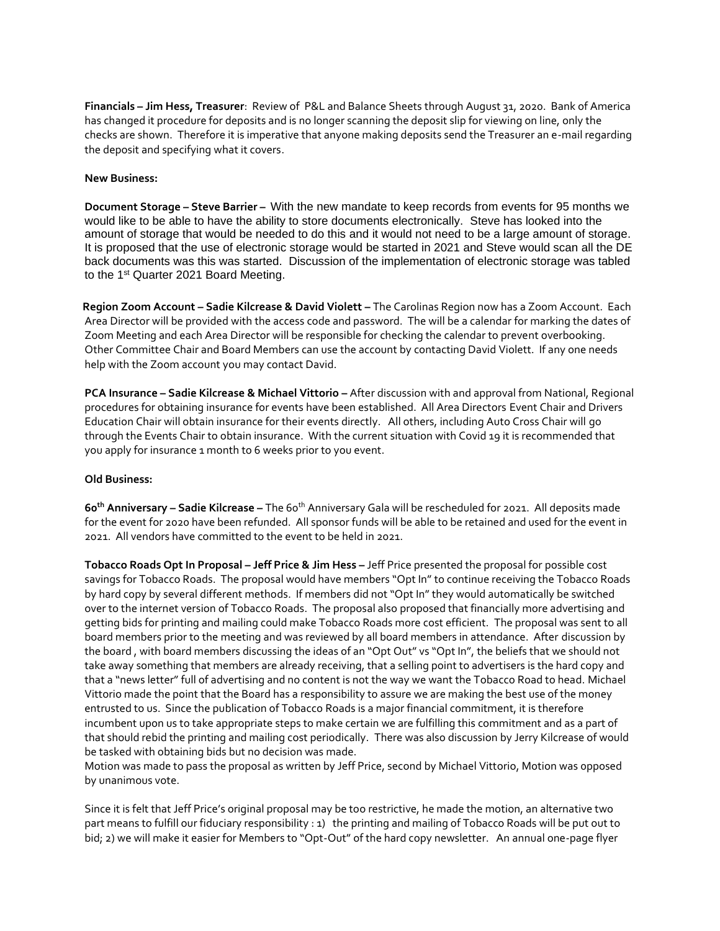**Financials – Jim Hess, Treasurer**: Review of P&L and Balance Sheets through August 31, 2020. Bank of America has changed it procedure for deposits and is no longer scanning the deposit slip for viewing on line, only the checks are shown. Therefore it is imperative that anyone making deposits send the Treasurer an e-mail regarding the deposit and specifying what it covers.

### **New Business:**

**Document Storage – Steve Barrier –** With the new mandate to keep records from events for 95 months we would like to be able to have the ability to store documents electronically. Steve has looked into the amount of storage that would be needed to do this and it would not need to be a large amount of storage. It is proposed that the use of electronic storage would be started in 2021 and Steve would scan all the DE back documents was this was started. Discussion of the implementation of electronic storage was tabled to the 1st Quarter 2021 Board Meeting.

 **Region Zoom Account – Sadie Kilcrease & David Violett –** The Carolinas Region now has a Zoom Account. Each Area Director will be provided with the access code and password. The will be a calendar for marking the dates of Zoom Meeting and each Area Director will be responsible for checking the calendar to prevent overbooking. Other Committee Chair and Board Members can use the account by contacting David Violett. If any one needs help with the Zoom account you may contact David.

**PCA Insurance – Sadie Kilcrease & Michael Vittorio –** After discussion with and approval from National, Regional procedures for obtaining insurance for events have been established. All Area Directors Event Chair and Drivers Education Chair will obtain insurance for their events directly. All others, including Auto Cross Chair will go through the Events Chair to obtain insurance. With the current situation with Covid 19 it is recommended that you apply for insurance 1 month to 6 weeks prior to you event.

## **Old Business:**

**60th Anniversary – Sadie Kilcrease –** The 60th Anniversary Gala will be rescheduled for 2021. All deposits made for the event for 2020 have been refunded. All sponsor funds will be able to be retained and used for the event in 2021. All vendors have committed to the event to be held in 2021.

**Tobacco Roads Opt In Proposal – Jeff Price & Jim Hess –** Jeff Price presented the proposal for possible cost savings for Tobacco Roads. The proposal would have members "Opt In" to continue receiving the Tobacco Roads by hard copy by several different methods. If members did not "Opt In" they would automatically be switched over to the internet version of Tobacco Roads. The proposal also proposed that financially more advertising and getting bids for printing and mailing could make Tobacco Roads more cost efficient. The proposal was sent to all board members prior to the meeting and was reviewed by all board members in attendance. After discussion by the board , with board members discussing the ideas of an "Opt Out" vs "Opt In", the beliefs that we should not take away something that members are already receiving, that a selling point to advertisers is the hard copy and that a "news letter" full of advertising and no content is not the way we want the Tobacco Road to head. Michael Vittorio made the point that the Board has a responsibility to assure we are making the best use of the money entrusted to us. Since the publication of Tobacco Roads is a major financial commitment, it is therefore incumbent upon us to take appropriate steps to make certain we are fulfilling this commitment and as a part of that should rebid the printing and mailing cost periodically. There was also discussion by Jerry Kilcrease of would be tasked with obtaining bids but no decision was made.

Motion was made to pass the proposal as written by Jeff Price, second by Michael Vittorio, Motion was 0pposed by unanimous vote.

Since it is felt that Jeff Price's original proposal may be too restrictive, he made the motion, an alternative two part means to fulfill our fiduciary responsibility : 1) the printing and mailing of Tobacco Roads will be put out to bid; 2) we will make it easier for Members to "Opt-Out" of the hard copy newsletter. An annual one-page flyer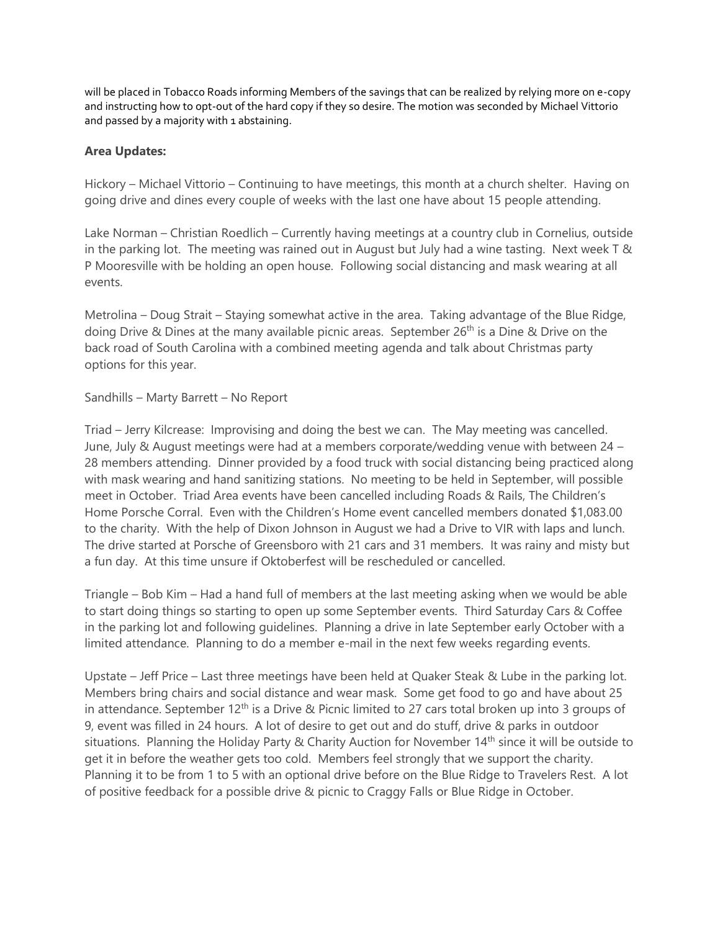will be placed in Tobacco Roads informing Members of the savings that can be realized by relying more on e-copy and instructing how to opt-out of the hard copy if they so desire. The motion was seconded by Michael Vittorio and passed by a majority with 1 abstaining.

# **Area Updates:**

Hickory – Michael Vittorio – Continuing to have meetings, this month at a church shelter. Having on going drive and dines every couple of weeks with the last one have about 15 people attending.

Lake Norman – Christian Roedlich – Currently having meetings at a country club in Cornelius, outside in the parking lot. The meeting was rained out in August but July had a wine tasting. Next week T & P Mooresville with be holding an open house. Following social distancing and mask wearing at all events.

Metrolina – Doug Strait – Staying somewhat active in the area. Taking advantage of the Blue Ridge, doing Drive & Dines at the many available picnic areas. September 26<sup>th</sup> is a Dine & Drive on the back road of South Carolina with a combined meeting agenda and talk about Christmas party options for this year.

## Sandhills – Marty Barrett – No Report

Triad – Jerry Kilcrease: Improvising and doing the best we can. The May meeting was cancelled. June, July & August meetings were had at a members corporate/wedding venue with between 24 – 28 members attending. Dinner provided by a food truck with social distancing being practiced along with mask wearing and hand sanitizing stations. No meeting to be held in September, will possible meet in October. Triad Area events have been cancelled including Roads & Rails, The Children's Home Porsche Corral. Even with the Children's Home event cancelled members donated \$1,083.00 to the charity. With the help of Dixon Johnson in August we had a Drive to VIR with laps and lunch. The drive started at Porsche of Greensboro with 21 cars and 31 members. It was rainy and misty but a fun day. At this time unsure if Oktoberfest will be rescheduled or cancelled.

Triangle – Bob Kim – Had a hand full of members at the last meeting asking when we would be able to start doing things so starting to open up some September events. Third Saturday Cars & Coffee in the parking lot and following guidelines. Planning a drive in late September early October with a limited attendance. Planning to do a member e-mail in the next few weeks regarding events.

Upstate – Jeff Price – Last three meetings have been held at Quaker Steak & Lube in the parking lot. Members bring chairs and social distance and wear mask. Some get food to go and have about 25 in attendance. September 12<sup>th</sup> is a Drive & Picnic limited to 27 cars total broken up into 3 groups of 9, event was filled in 24 hours. A lot of desire to get out and do stuff, drive & parks in outdoor situations. Planning the Holiday Party & Charity Auction for November 14<sup>th</sup> since it will be outside to get it in before the weather gets too cold. Members feel strongly that we support the charity. Planning it to be from 1 to 5 with an optional drive before on the Blue Ridge to Travelers Rest. A lot of positive feedback for a possible drive & picnic to Craggy Falls or Blue Ridge in October.